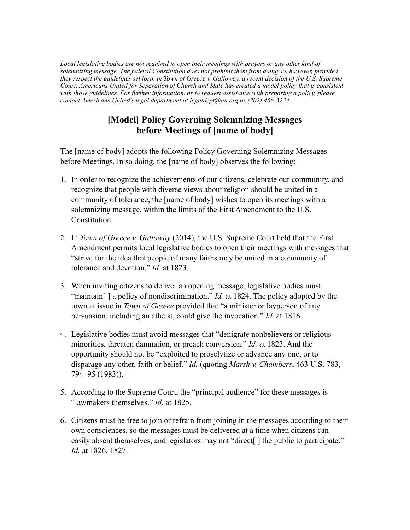*Local legislative bodies are not required to open their meetings with prayers or any other kind of solemnizing message. The federal Constitution does not prohibit them from doing so, however, provided they respect the guidelines set forth in Town of Greece v. Galloway, a recent decision of the U.S. Supreme Court. Americans United for Separation of Church and State has created a model policy that is consistent with those guidelines. For further information, or to request assistance with preparing a policy, please contact Americans United's legal department at legaldept@au.org or (202) 466-3234.*

## **[Model] Policy Governing Solemnizing Messages before Meetings of [name of body]**

The [name of body] adopts the following Policy Governing Solemnizing Messages before Meetings. In so doing, the [name of body] observes the following:

- 1. In order to recognize the achievements of our citizens, celebrate our community, and recognize that people with diverse views about religion should be united in a community of tolerance, the [name of body] wishes to open its meetings with a solemnizing message, within the limits of the First Amendment to the U.S. Constitution.
- 2. In *Town of Greece v. Galloway* (2014), the U.S. Supreme Court held that the First Amendment permits local legislative bodies to open their meetings with messages that "strive for the idea that people of many faiths may be united in a community of tolerance and devotion." *Id.* at 1823.
- 3. When inviting citizens to deliver an opening message, legislative bodies must "maintain[ ] a policy of nondiscrimination." *Id.* at 1824. The policy adopted by the town at issue in *Town of Greece* provided that "a minister or layperson of any persuasion, including an atheist, could give the invocation." *Id.* at 1816.
- 4. Legislative bodies must avoid messages that "denigrate nonbelievers or religious minorities, threaten damnation, or preach conversion." *Id.* at 1823. And the opportunity should not be "exploited to proselytize or advance any one, or to disparage any other, faith or belief." *Id.* (quoting *Marsh v. Chambers*, 463 U.S. 783, 794–95 (1983)).
- 5. According to the Supreme Court, the "principal audience" for these messages is "lawmakers themselves." *Id.* at 1825.
- 6. Citizens must be free to join or refrain from joining in the messages according to their own consciences, so the messages must be delivered at a time when citizens can easily absent themselves, and legislators may not "direct." I the public to participate." *Id.* at 1826, 1827.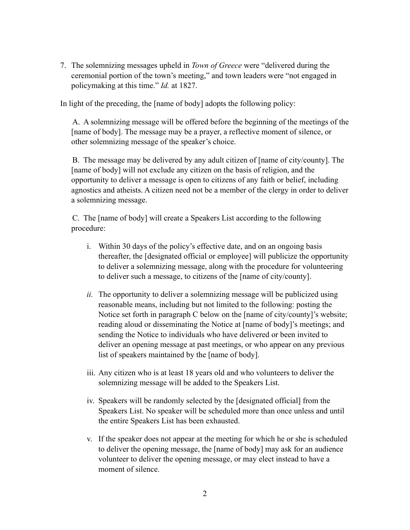7. The solemnizing messages upheld in *Town of Greece* were "delivered during the ceremonial portion of the town's meeting," and town leaders were "not engaged in policymaking at this time." *Id.* at 1827.

In light of the preceding, the [name of body] adopts the following policy:

A. A solemnizing message will be offered before the beginning of the meetings of the [name of body]. The message may be a prayer, a reflective moment of silence, or other solemnizing message of the speaker's choice.

B. The message may be delivered by any adult citizen of [name of city/county]. The [name of body] will not exclude any citizen on the basis of religion, and the opportunity to deliver a message is open to citizens of any faith or belief, including agnostics and atheists. A citizen need not be a member of the clergy in order to deliver a solemnizing message.

C. The [name of body] will create a Speakers List according to the following procedure:

- i. Within 30 days of the policy's effective date, and on an ongoing basis thereafter, the [designated official or employee] will publicize the opportunity to deliver a solemnizing message, along with the procedure for volunteering to deliver such a message, to citizens of the [name of city/county].
- *ii.* The opportunity to deliver a solemnizing message will be publicized using reasonable means, including but not limited to the following: posting the Notice set forth in paragraph C below on the [name of city/county]'s website; reading aloud or disseminating the Notice at [name of body]'s meetings; and sending the Notice to individuals who have delivered or been invited to deliver an opening message at past meetings, or who appear on any previous list of speakers maintained by the [name of body].
- iii. Any citizen who is at least 18 years old and who volunteers to deliver the solemnizing message will be added to the Speakers List.
- iv. Speakers will be randomly selected by the [designated official] from the Speakers List. No speaker will be scheduled more than once unless and until the entire Speakers List has been exhausted.
- v. If the speaker does not appear at the meeting for which he or she is scheduled to deliver the opening message, the [name of body] may ask for an audience volunteer to deliver the opening message, or may elect instead to have a moment of silence.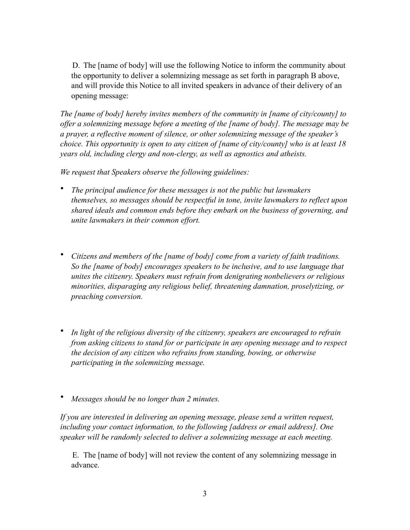D. The [name of body] will use the following Notice to inform the community about the opportunity to deliver a solemnizing message as set forth in paragraph B above, and will provide this Notice to all invited speakers in advance of their delivery of an opening message:

*The [name of body] hereby invites members of the community in [name of city/county] to offer a solemnizing message before a meeting of the [name of body]. The message may be a prayer, a reflective moment of silence, or other solemnizing message of the speaker's choice. This opportunity is open to any citizen of [name of city/county] who is at least 18 years old, including clergy and non-clergy, as well as agnostics and atheists.*

*We request that Speakers observe the following guidelines:*

- *The principal audience for these messages is not the public but lawmakers themselves, so messages should be respectful in tone, invite lawmakers to reflect upon shared ideals and common ends before they embark on the business of governing, and unite lawmakers in their common effort.*
- *Citizens and members of the [name of body] come from a variety of faith traditions. So the [name of body] encourages speakers to be inclusive, and to use language that unites the citizenry. Speakers must refrain from denigrating nonbelievers or religious minorities, disparaging any religious belief, threatening damnation, proselytizing, or preaching conversion.*
- *In light of the religious diversity of the citizenry, speakers are encouraged to refrain from asking citizens to stand for or participate in any opening message and to respect the decision of any citizen who refrains from standing, bowing, or otherwise participating in the solemnizing message.*
- *Messages should be no longer than 2 minutes.*

*If you are interested in delivering an opening message, please send a written request, including your contact information, to the following [address or email address]. One speaker will be randomly selected to deliver a solemnizing message at each meeting.*

E. The [name of body] will not review the content of any solemnizing message in advance.